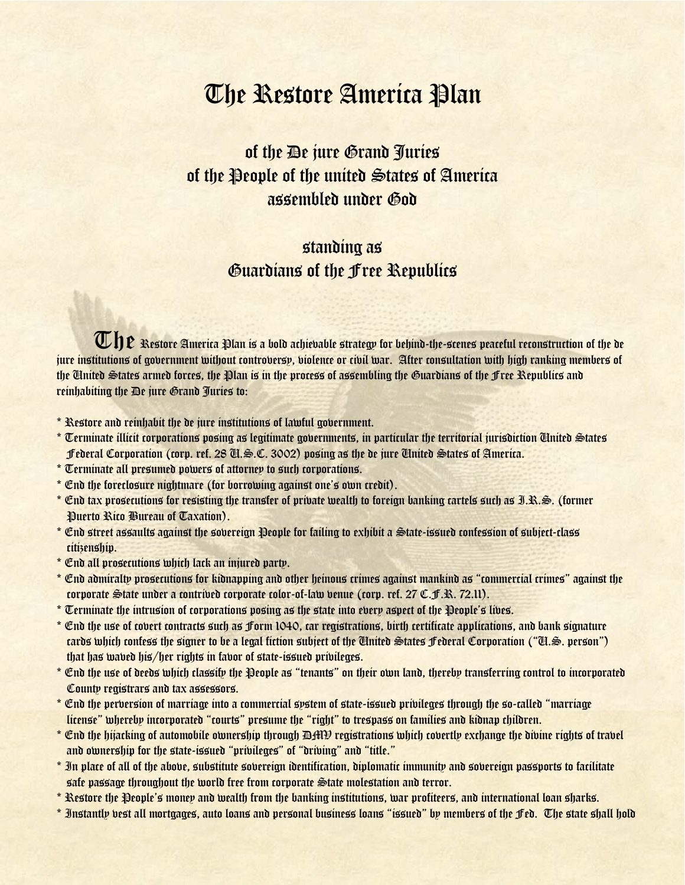## The Restore America Plan

of the De jure Grand Juries of the People of the united States of America assembled under God

## standing as Guardians of the Free Republics

 $\mathbb{U}$   $\mathfrak{p}$  Restore America Plan is a bold achievable strategy for behind-the-scenes peaceful reconstruction of the de<br>titutions of cohernment mithout controllers miologeo or sibil mar . After consultation mith hig jure institutions of government without controversy, violence or civil war. After consultation with high ranking members of the United States armed forces, the Plan is in the process of assembling the Guardians of the Free Republics and reinhabiting the De jure Grand Juries to:

- \* Restore and reinhabit the de jure institutions of lawful government.
- \* Terminate illicit corporations posing as legitimate governments, in particular the territorial jurisdiction United States Federal Corporation (corp. ref. 28 U.S.C. 3002) posing as the de jure United States of America.
- \* Terminate all presumed powers of attorney to such corporations.
- \* End the foreclosure nightmare (for borrowing against one's own credit).
- \* End tax prosecutions for resisting the transfer of private wealth to foreign banking cartels such as I.R.S. (former Puerto Rico Bureau of Taxation).
- \* End street assaults against the sovereign People for failing to exhibit a State-issued confession of subject-class citizenship.
- \* End all prosecutions which lack an injured party.
- \* End admiralty prosecutions for kidnapping and other heinous crimes against mankind as "commercial crimes" against the corporate State under a contrived corporate color-of-law venue (corp. ref. 27 C.F.R. 72.11).
- \* Terminate the intrusion of corporations posing as the state into every aspect of the People's lives.
- \* End the use of covert contracts such as Form 1040, car registrations, birth certificate applications, and bank signature cards which confess the signer to be a legal fiction subject of the United States Federal Corporation ("U.S. person") that has waved his/her rights in favor of state-issued privileges.
- \* End the use of deeds which classify the People as "tenants" on their own land, thereby transferring control to incorporated County registrars and tax assessors.
- \* End the perversion of marriage into a commercial system of state-issued privileges through the so-called "marriage license" whereby incorporated "courts" presume the "right" to trespass on families and kidnap children.
- $^\ast$  End the hijacking of automobile ownership through DHVI registrations which covertly exchange the divine rights of travel and ownership for the state-issued "privileges" of "driving" and "title."
- \* In place of all of the above, substitute sovereign identification, diplomatic immunity and sovereign passports to facilitate safe passage throughout the world free from corporate State molestation and terror.
- \* Restore the People's money and wealth from the banking institutions, war profiteers, and international loan sharks.
- \* Instantly vest all mortgages, auto loans and personal business loans "issued" by members of the Fed. The state shall hold